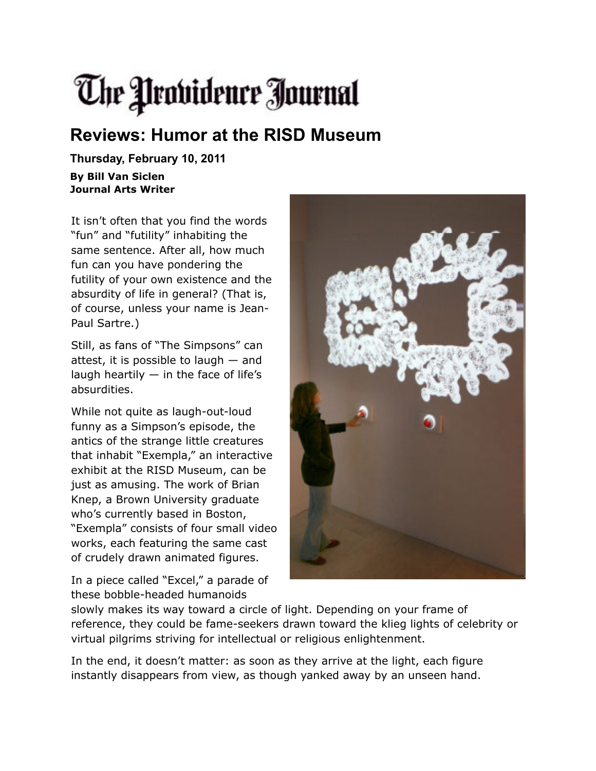## The Providence Journal

## **Reviews: Humor at the RISD Museum**

**Thursday, February 10, 2011**

**By Bill Van Siclen Journal Arts Writer**

It isn't often that you find the words "fun" and "futility" inhabiting the same sentence. After all, how much fun can you have pondering the futility of your own existence and the absurdity of life in general? (That is, of course, unless your name is Jean-Paul Sartre.)

Still, as fans of "The Simpsons" can attest, it is possible to laugh — and laugh heartily  $-$  in the face of life's absurdities.

While not quite as laugh-out-loud funny as a Simpson's episode, the antics of the strange little creatures that inhabit "Exempla," an interactive exhibit at the RISD Museum, can be just as amusing. The work of Brian Knep, a Brown University graduate who's currently based in Boston, "Exempla" consists of four small video works, each featuring the same cast of crudely drawn animated figures.

In a piece called "Excel," a parade of these bobble-headed humanoids



slowly makes its way toward a circle of light. Depending on your frame of reference, they could be fame-seekers drawn toward the klieg lights of celebrity or virtual pilgrims striving for intellectual or religious enlightenment.

In the end, it doesn't matter: as soon as they arrive at the light, each figure instantly disappears from view, as though yanked away by an unseen hand.